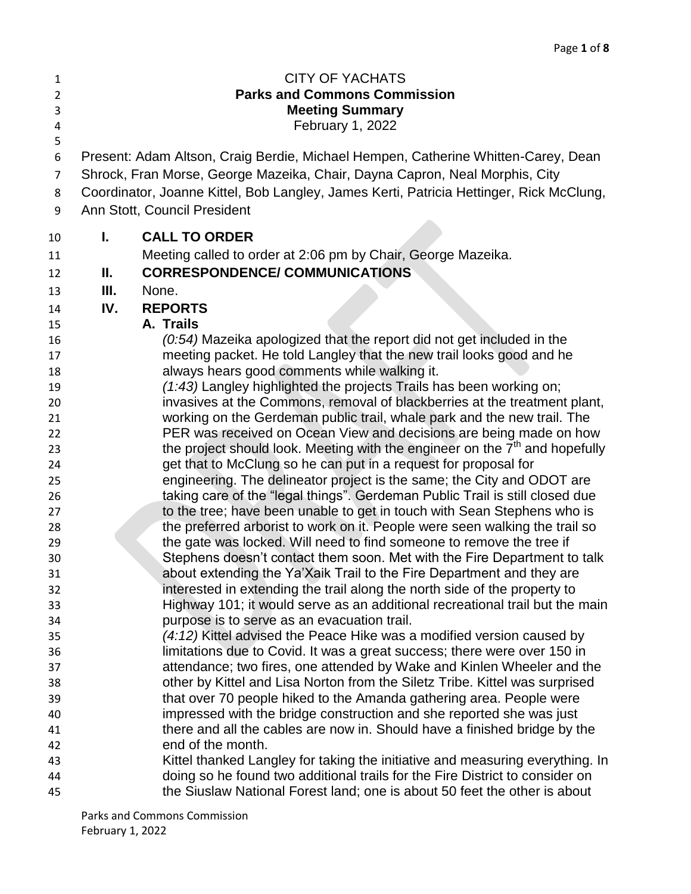| 1<br>$\overline{2}$<br>3<br>4 |                                                                                   | <b>CITY OF YACHATS</b><br><b>Parks and Commons Commission</b><br><b>Meeting Summary</b><br>February 1, 2022                                       |  |
|-------------------------------|-----------------------------------------------------------------------------------|---------------------------------------------------------------------------------------------------------------------------------------------------|--|
| 5<br>6                        | Present: Adam Altson, Craig Berdie, Michael Hempen, Catherine Whitten-Carey, Dean |                                                                                                                                                   |  |
| $\overline{7}$                |                                                                                   | Shrock, Fran Morse, George Mazeika, Chair, Dayna Capron, Neal Morphis, City                                                                       |  |
| 8                             |                                                                                   | Coordinator, Joanne Kittel, Bob Langley, James Kerti, Patricia Hettinger, Rick McClung,                                                           |  |
| 9                             |                                                                                   | Ann Stott, Council President                                                                                                                      |  |
| 10                            | L.                                                                                | <b>CALL TO ORDER</b>                                                                                                                              |  |
| 11                            |                                                                                   | Meeting called to order at 2:06 pm by Chair, George Mazeika.                                                                                      |  |
| 12                            | Ш.                                                                                | <b>CORRESPONDENCE/ COMMUNICATIONS</b>                                                                                                             |  |
| 13                            | Ш.                                                                                | None.                                                                                                                                             |  |
| 14                            | IV.                                                                               | <b>REPORTS</b>                                                                                                                                    |  |
| 15                            |                                                                                   | A. Trails                                                                                                                                         |  |
| 16                            |                                                                                   | (0:54) Mazeika apologized that the report did not get included in the                                                                             |  |
| 17                            |                                                                                   | meeting packet. He told Langley that the new trail looks good and he                                                                              |  |
| 18                            |                                                                                   | always hears good comments while walking it.                                                                                                      |  |
| 19                            |                                                                                   | (1:43) Langley highlighted the projects Trails has been working on;                                                                               |  |
| 20                            |                                                                                   | invasives at the Commons, removal of blackberries at the treatment plant,                                                                         |  |
| 21<br>22                      |                                                                                   | working on the Gerdeman public trail, whale park and the new trail. The<br>PER was received on Ocean View and decisions are being made on how     |  |
| 23                            |                                                                                   | the project should look. Meeting with the engineer on the 7 <sup>th</sup> and hopefully                                                           |  |
| 24                            |                                                                                   | get that to McClung so he can put in a request for proposal for                                                                                   |  |
| 25                            |                                                                                   | engineering. The delineator project is the same; the City and ODOT are                                                                            |  |
| 26                            |                                                                                   | taking care of the "legal things". Gerdeman Public Trail is still closed due                                                                      |  |
| 27                            |                                                                                   | to the tree; have been unable to get in touch with Sean Stephens who is                                                                           |  |
| 28                            |                                                                                   | the preferred arborist to work on it. People were seen walking the trail so                                                                       |  |
| 29                            |                                                                                   | the gate was locked. Will need to find someone to remove the tree if                                                                              |  |
| 30                            |                                                                                   | Stephens doesn't contact them soon. Met with the Fire Department to talk                                                                          |  |
| 31                            |                                                                                   | about extending the Ya'Xaik Trail to the Fire Department and they are                                                                             |  |
| 32                            |                                                                                   | interested in extending the trail along the north side of the property to                                                                         |  |
| 33                            |                                                                                   | Highway 101; it would serve as an additional recreational trail but the main                                                                      |  |
| 34                            |                                                                                   | purpose is to serve as an evacuation trail.                                                                                                       |  |
| 35<br>36                      |                                                                                   | (4:12) Kittel advised the Peace Hike was a modified version caused by<br>limitations due to Covid. It was a great success; there were over 150 in |  |
| 37                            |                                                                                   | attendance; two fires, one attended by Wake and Kinlen Wheeler and the                                                                            |  |
| 38                            |                                                                                   | other by Kittel and Lisa Norton from the Siletz Tribe. Kittel was surprised                                                                       |  |
| 39                            |                                                                                   | that over 70 people hiked to the Amanda gathering area. People were                                                                               |  |
| 40                            |                                                                                   | impressed with the bridge construction and she reported she was just                                                                              |  |
| 41                            |                                                                                   | there and all the cables are now in. Should have a finished bridge by the                                                                         |  |
| 42                            |                                                                                   | end of the month.                                                                                                                                 |  |
| 43                            |                                                                                   | Kittel thanked Langley for taking the initiative and measuring everything. In                                                                     |  |
| 44                            |                                                                                   | doing so he found two additional trails for the Fire District to consider on                                                                      |  |
| 45                            |                                                                                   | the Siuslaw National Forest land; one is about 50 feet the other is about                                                                         |  |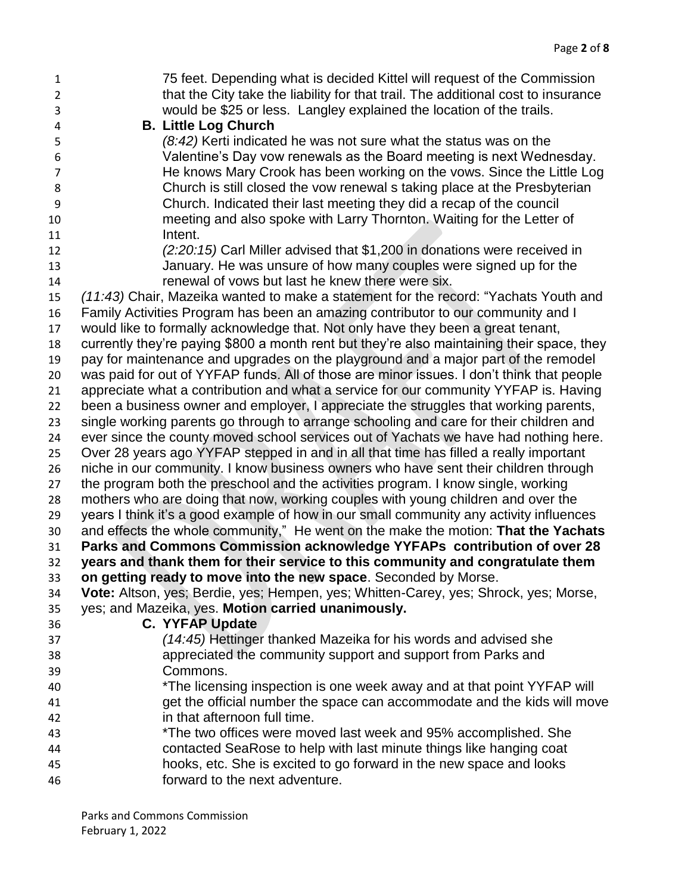75 feet. Depending what is decided Kittel will request of the Commission that the City take the liability for that trail. The additional cost to insurance would be \$25 or less. Langley explained the location of the trails. **B. Little Log Church** *(8:42)* Kerti indicated he was not sure what the status was on the Valentine's Day vow renewals as the Board meeting is next Wednesday. He knows Mary Crook has been working on the vows. Since the Little Log Church is still closed the vow renewal s taking place at the Presbyterian Church. Indicated their last meeting they did a recap of the council meeting and also spoke with Larry Thornton. Waiting for the Letter of 11 Intent. *(2:20:15)* Carl Miller advised that \$1,200 in donations were received in January. He was unsure of how many couples were signed up for the renewal of vows but last he knew there were six. *(11:43)* Chair, Mazeika wanted to make a statement for the record: "Yachats Youth and Family Activities Program has been an amazing contributor to our community and I would like to formally acknowledge that. Not only have they been a great tenant, currently they're paying \$800 a month rent but they're also maintaining their space, they pay for maintenance and upgrades on the playground and a major part of the remodel was paid for out of YYFAP funds. All of those are minor issues. I don't think that people appreciate what a contribution and what a service for our community YYFAP is. Having been a business owner and employer, I appreciate the struggles that working parents, single working parents go through to arrange schooling and care for their children and ever since the county moved school services out of Yachats we have had nothing here. Over 28 years ago YYFAP stepped in and in all that time has filled a really important niche in our community. I know business owners who have sent their children through the program both the preschool and the activities program. I know single, working mothers who are doing that now, working couples with young children and over the years I think it's a good example of how in our small community any activity influences and effects the whole community," He went on the make the motion: **That the Yachats Parks and Commons Commission acknowledge YYFAPs contribution of over 28 years and thank them for their service to this community and congratulate them on getting ready to move into the new space**. Seconded by Morse. **Vote:** Altson, yes; Berdie, yes; Hempen, yes; Whitten-Carey, yes; Shrock, yes; Morse, yes; and Mazeika, yes. **Motion carried unanimously. C. YYFAP Update** *(14:45)* Hettinger thanked Mazeika for his words and advised she appreciated the community support and support from Parks and Commons. \*The licensing inspection is one week away and at that point YYFAP will get the official number the space can accommodate and the kids will move in that afternoon full time. \*The two offices were moved last week and 95% accomplished. She contacted SeaRose to help with last minute things like hanging coat hooks, etc. She is excited to go forward in the new space and looks forward to the next adventure.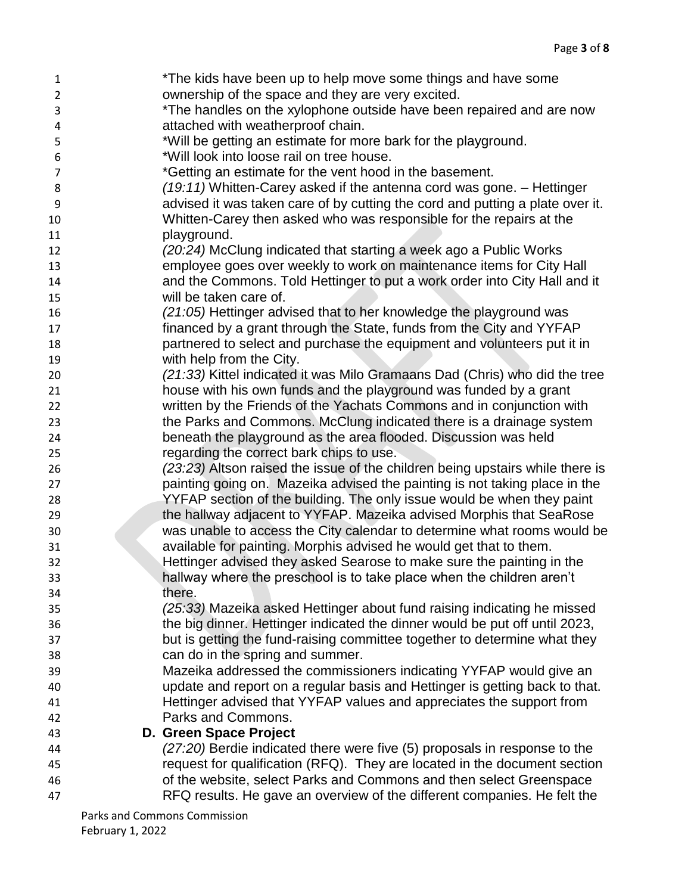| 1              | *The kids have been up to help move some things and have some                                                                                       |
|----------------|-----------------------------------------------------------------------------------------------------------------------------------------------------|
| $\overline{2}$ | ownership of the space and they are very excited.                                                                                                   |
| 3              | *The handles on the xylophone outside have been repaired and are now                                                                                |
| 4              | attached with weatherproof chain.                                                                                                                   |
| 5              | *Will be getting an estimate for more bark for the playground.                                                                                      |
| 6              | *Will look into loose rail on tree house.                                                                                                           |
| $\overline{7}$ | *Getting an estimate for the vent hood in the basement.                                                                                             |
| 8              | $(19:11)$ Whitten-Carey asked if the antenna cord was gone. $-$ Hettinger                                                                           |
| 9              | advised it was taken care of by cutting the cord and putting a plate over it.                                                                       |
| 10             | Whitten-Carey then asked who was responsible for the repairs at the                                                                                 |
| 11             | playground.                                                                                                                                         |
| 12             | (20:24) McClung indicated that starting a week ago a Public Works                                                                                   |
| 13             | employee goes over weekly to work on maintenance items for City Hall                                                                                |
| 14             | and the Commons. Told Hettinger to put a work order into City Hall and it                                                                           |
| 15             | will be taken care of.                                                                                                                              |
| 16             | (21:05) Hettinger advised that to her knowledge the playground was                                                                                  |
| 17             | financed by a grant through the State, funds from the City and YYFAP                                                                                |
| 18             | partnered to select and purchase the equipment and volunteers put it in                                                                             |
| 19             | with help from the City.                                                                                                                            |
| 20             | (21:33) Kittel indicated it was Milo Gramaans Dad (Chris) who did the tree                                                                          |
| 21             | house with his own funds and the playground was funded by a grant                                                                                   |
| 22             | written by the Friends of the Yachats Commons and in conjunction with                                                                               |
| 23             | the Parks and Commons. McClung indicated there is a drainage system                                                                                 |
| 24             | beneath the playground as the area flooded. Discussion was held                                                                                     |
| 25             | regarding the correct bark chips to use.                                                                                                            |
| 26             | (23:23) Altson raised the issue of the children being upstairs while there is                                                                       |
| 27             | painting going on. Mazeika advised the painting is not taking place in the                                                                          |
| 28             | YYFAP section of the building. The only issue would be when they paint                                                                              |
| 29             | the hallway adjacent to YYFAP. Mazeika advised Morphis that SeaRose                                                                                 |
| 30             | was unable to access the City calendar to determine what rooms would be                                                                             |
| 31             | available for painting. Morphis advised he would get that to them.                                                                                  |
| 32             | Hettinger advised they asked Searose to make sure the painting in the                                                                               |
| 33             | hallway where the preschool is to take place when the children aren't                                                                               |
| 34             | there.                                                                                                                                              |
| 35             | (25:33) Mazeika asked Hettinger about fund raising indicating he missed                                                                             |
| 36             | the big dinner. Hettinger indicated the dinner would be put off until 2023,                                                                         |
| 37             | but is getting the fund-raising committee together to determine what they                                                                           |
| 38             | can do in the spring and summer.                                                                                                                    |
| 39             | Mazeika addressed the commissioners indicating YYFAP would give an                                                                                  |
| 40             | update and report on a regular basis and Hettinger is getting back to that.<br>Hettinger advised that YYFAP values and appreciates the support from |
| 41             | Parks and Commons.                                                                                                                                  |
| 42             | D. Green Space Project                                                                                                                              |
| 43<br>44       | (27:20) Berdie indicated there were five (5) proposals in response to the                                                                           |
| 45             | request for qualification (RFQ). They are located in the document section                                                                           |
| 46             | of the website, select Parks and Commons and then select Greenspace                                                                                 |
| 47             | RFQ results. He gave an overview of the different companies. He felt the                                                                            |
|                |                                                                                                                                                     |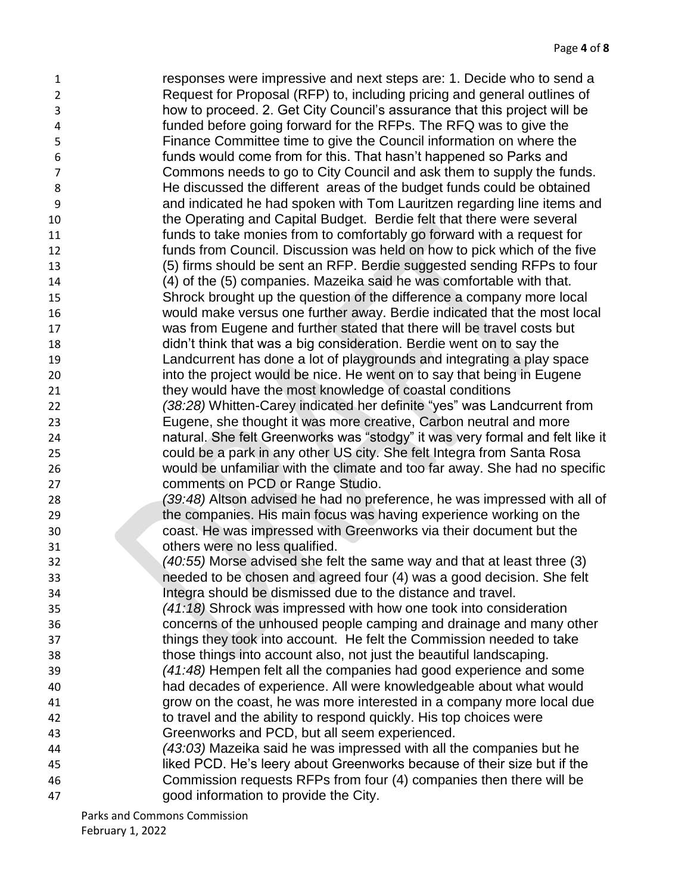responses were impressive and next steps are: 1. Decide who to send a Request for Proposal (RFP) to, including pricing and general outlines of how to proceed. 2. Get City Council's assurance that this project will be funded before going forward for the RFPs. The RFQ was to give the Finance Committee time to give the Council information on where the funds would come from for this. That hasn't happened so Parks and Commons needs to go to City Council and ask them to supply the funds. He discussed the different areas of the budget funds could be obtained and indicated he had spoken with Tom Lauritzen regarding line items and the Operating and Capital Budget. Berdie felt that there were several funds to take monies from to comfortably go forward with a request for funds from Council. Discussion was held on how to pick which of the five (5) firms should be sent an RFP. Berdie suggested sending RFPs to four (4) of the (5) companies. Mazeika said he was comfortable with that. Shrock brought up the question of the difference a company more local would make versus one further away. Berdie indicated that the most local was from Eugene and further stated that there will be travel costs but didn't think that was a big consideration. Berdie went on to say the Landcurrent has done a lot of playgrounds and integrating a play space into the project would be nice. He went on to say that being in Eugene they would have the most knowledge of coastal conditions *(38:28)* Whitten-Carey indicated her definite "yes" was Landcurrent from Eugene, she thought it was more creative, Carbon neutral and more natural. She felt Greenworks was "stodgy" it was very formal and felt like it could be a park in any other US city. She felt Integra from Santa Rosa would be unfamiliar with the climate and too far away. She had no specific comments on PCD or Range Studio. *(39:48)* Altson advised he had no preference, he was impressed with all of the companies. His main focus was having experience working on the coast. He was impressed with Greenworks via their document but the others were no less qualified. *(40:55)* Morse advised she felt the same way and that at least three (3) needed to be chosen and agreed four (4) was a good decision. She felt Integra should be dismissed due to the distance and travel. *(41:18)* Shrock was impressed with how one took into consideration concerns of the unhoused people camping and drainage and many other things they took into account. He felt the Commission needed to take those things into account also, not just the beautiful landscaping. *(41:48)* Hempen felt all the companies had good experience and some had decades of experience. All were knowledgeable about what would grow on the coast, he was more interested in a company more local due to travel and the ability to respond quickly. His top choices were Greenworks and PCD, but all seem experienced. *(43:03)* Mazeika said he was impressed with all the companies but he liked PCD. He's leery about Greenworks because of their size but if the Commission requests RFPs from four (4) companies then there will be good information to provide the City.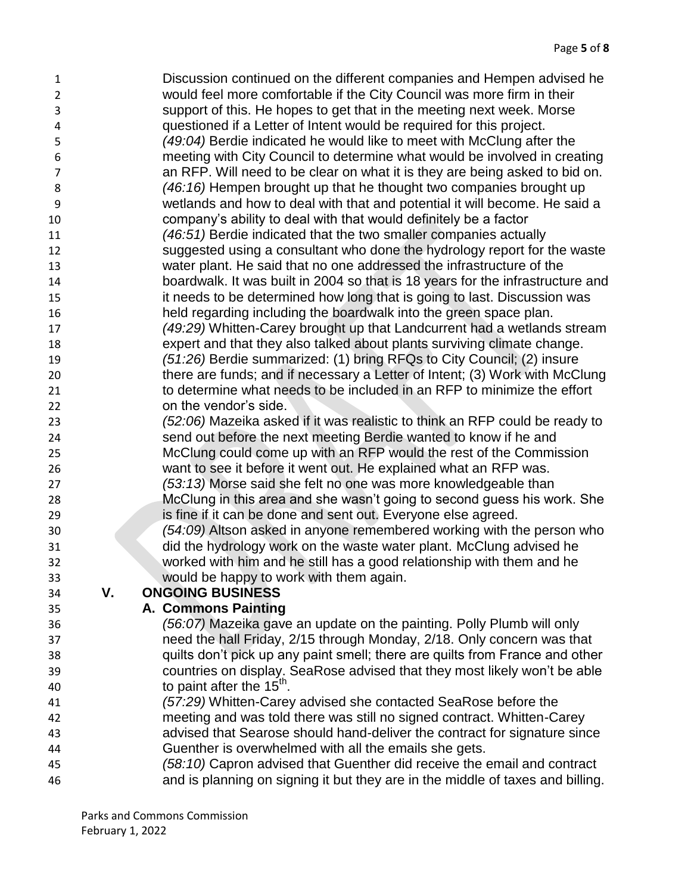- Discussion continued on the different companies and Hempen advised he would feel more comfortable if the City Council was more firm in their support of this. He hopes to get that in the meeting next week. Morse questioned if a Letter of Intent would be required for this project. *(49:04)* Berdie indicated he would like to meet with McClung after the meeting with City Council to determine what would be involved in creating an RFP. Will need to be clear on what it is they are being asked to bid on. *(46:16)* Hempen brought up that he thought two companies brought up wetlands and how to deal with that and potential it will become. He said a company's ability to deal with that would definitely be a factor *(46:51)* Berdie indicated that the two smaller companies actually suggested using a consultant who done the hydrology report for the waste water plant. He said that no one addressed the infrastructure of the boardwalk. It was built in 2004 so that is 18 years for the infrastructure and it needs to be determined how long that is going to last. Discussion was held regarding including the boardwalk into the green space plan. *(49:29)* Whitten-Carey brought up that Landcurrent had a wetlands stream expert and that they also talked about plants surviving climate change. *(51:26)* Berdie summarized: (1) bring RFQs to City Council; (2) insure there are funds; and if necessary a Letter of Intent; (3) Work with McClung to determine what needs to be included in an RFP to minimize the effort on the vendor's side. *(52:06)* Mazeika asked if it was realistic to think an RFP could be ready to send out before the next meeting Berdie wanted to know if he and McClung could come up with an RFP would the rest of the Commission want to see it before it went out. He explained what an RFP was. *(53:13)* Morse said she felt no one was more knowledgeable than
- McClung in this area and she wasn't going to second guess his work. She is fine if it can be done and sent out. Everyone else agreed. *(54:09)* Altson asked in anyone remembered working with the person who did the hydrology work on the waste water plant. McClung advised he
- worked with him and he still has a good relationship with them and he would be happy to work with them again.

## **V. ONGOING BUSINESS**

## **A. Commons Painting**

- *(56:07)* Mazeika gave an update on the painting. Polly Plumb will only need the hall Friday, 2/15 through Monday, 2/18. Only concern was that quilts don't pick up any paint smell; there are quilts from France and other countries on display. SeaRose advised that they most likely won't be able 40  $\sim$  to paint after the 15<sup>th</sup>.
- *(57:29)* Whitten-Carey advised she contacted SeaRose before the meeting and was told there was still no signed contract. Whitten-Carey advised that Searose should hand-deliver the contract for signature since Guenther is overwhelmed with all the emails she gets.
- *(58:10)* Capron advised that Guenther did receive the email and contract and is planning on signing it but they are in the middle of taxes and billing.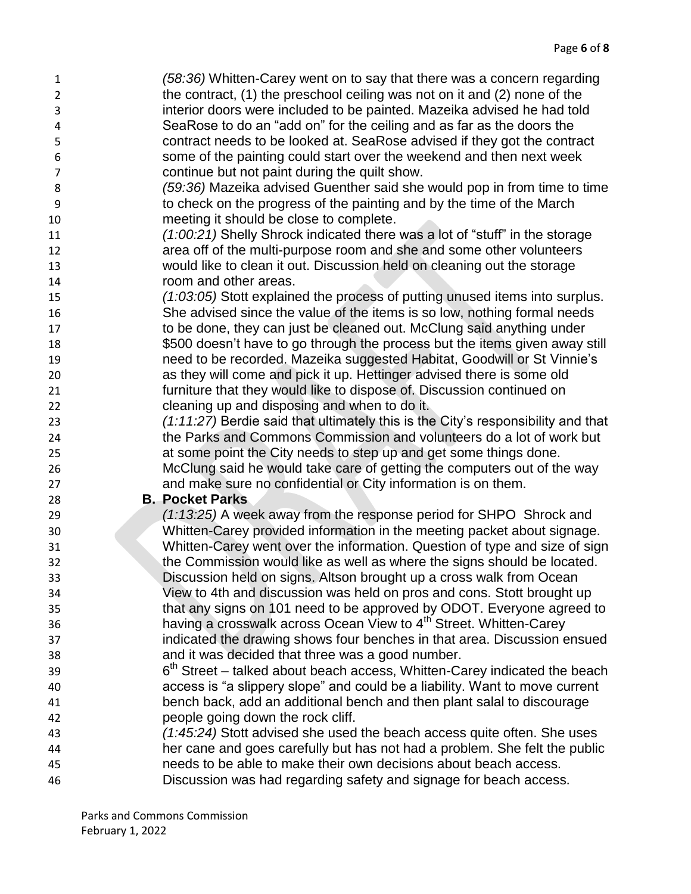*(58:36)* Whitten-Carey went on to say that there was a concern regarding the contract, (1) the preschool ceiling was not on it and (2) none of the interior doors were included to be painted. Mazeika advised he had told SeaRose to do an "add on" for the ceiling and as far as the doors the contract needs to be looked at. SeaRose advised if they got the contract some of the painting could start over the weekend and then next week continue but not paint during the quilt show.

- *(59:36)* Mazeika advised Guenther said she would pop in from time to time to check on the progress of the painting and by the time of the March meeting it should be close to complete.
- *(1:00:21)* Shelly Shrock indicated there was a lot of "stuff" in the storage area off of the multi-purpose room and she and some other volunteers would like to clean it out. Discussion held on cleaning out the storage room and other areas.
- *(1:03:05)* Stott explained the process of putting unused items into surplus. She advised since the value of the items is so low, nothing formal needs 17 to be done, they can just be cleaned out. McClung said anything under \$500 doesn't have to go through the process but the items given away still need to be recorded. Mazeika suggested Habitat, Goodwill or St Vinnie's as they will come and pick it up. Hettinger advised there is some old furniture that they would like to dispose of. Discussion continued on cleaning up and disposing and when to do it.
- *(1:11:27)* Berdie said that ultimately this is the City's responsibility and that the Parks and Commons Commission and volunteers do a lot of work but at some point the City needs to step up and get some things done. McClung said he would take care of getting the computers out of the way and make sure no confidential or City information is on them.

## **B. Pocket Parks**

- *(1:13:25)* A week away from the response period for SHPO Shrock and Whitten-Carey provided information in the meeting packet about signage. Whitten-Carey went over the information. Question of type and size of sign 32 the Commission would like as well as where the signs should be located. Discussion held on signs. Altson brought up a cross walk from Ocean View to 4th and discussion was held on pros and cons. Stott brought up that any signs on 101 need to be approved by ODOT. Everyone agreed to having a crosswalk across Ocean View to 4<sup>th</sup> Street. Whitten-Carey indicated the drawing shows four benches in that area. Discussion ensued and it was decided that three was a good number.
- 39 6<sup>th</sup> Street talked about beach access, Whitten-Carey indicated the beach access is "a slippery slope" and could be a liability. Want to move current bench back, add an additional bench and then plant salal to discourage people going down the rock cliff.
- *(1:45:24)* Stott advised she used the beach access quite often. She uses her cane and goes carefully but has not had a problem. She felt the public needs to be able to make their own decisions about beach access.
- Discussion was had regarding safety and signage for beach access.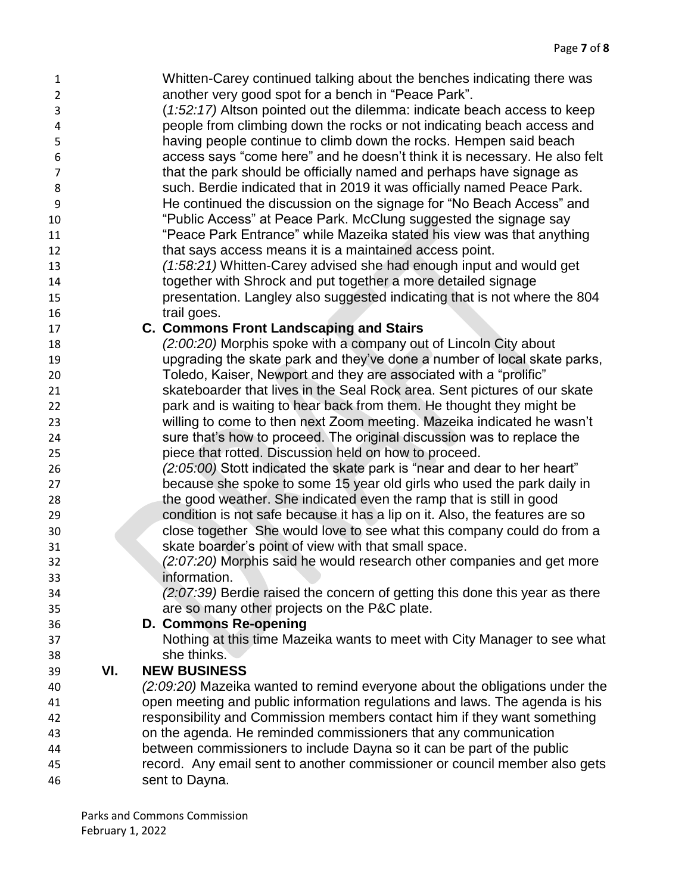| $\mathbf{1}$   |     | Whitten-Carey continued talking about the benches indicating there was        |
|----------------|-----|-------------------------------------------------------------------------------|
| $\overline{2}$ |     | another very good spot for a bench in "Peace Park".                           |
| 3              |     | (1:52:17) Altson pointed out the dilemma: indicate beach access to keep       |
| 4              |     | people from climbing down the rocks or not indicating beach access and        |
| 5              |     | having people continue to climb down the rocks. Hempen said beach             |
| 6              |     | access says "come here" and he doesn't think it is necessary. He also felt    |
| $\overline{7}$ |     | that the park should be officially named and perhaps have signage as          |
| 8              |     | such. Berdie indicated that in 2019 it was officially named Peace Park.       |
| 9              |     | He continued the discussion on the signage for "No Beach Access" and          |
| 10             |     | "Public Access" at Peace Park. McClung suggested the signage say              |
| 11             |     | "Peace Park Entrance" while Mazeika stated his view was that anything         |
| 12             |     | that says access means it is a maintained access point.                       |
| 13             |     | (1:58:21) Whitten-Carey advised she had enough input and would get            |
| 14             |     | together with Shrock and put together a more detailed signage                 |
| 15             |     | presentation. Langley also suggested indicating that is not where the 804     |
| 16             |     | trail goes.                                                                   |
| 17             |     | <b>C. Commons Front Landscaping and Stairs</b>                                |
| 18             |     | (2:00:20) Morphis spoke with a company out of Lincoln City about              |
| 19             |     | upgrading the skate park and they've done a number of local skate parks,      |
| 20             |     | Toledo, Kaiser, Newport and they are associated with a "prolific"             |
| 21             |     | skateboarder that lives in the Seal Rock area. Sent pictures of our skate     |
| 22             |     | park and is waiting to hear back from them. He thought they might be          |
| 23             |     | willing to come to then next Zoom meeting. Mazeika indicated he wasn't        |
| 24             |     | sure that's how to proceed. The original discussion was to replace the        |
| 25             |     | piece that rotted. Discussion held on how to proceed.                         |
| 26             |     | (2:05:00) Stott indicated the skate park is "near and dear to her heart"      |
| 27             |     | because she spoke to some 15 year old girls who used the park daily in        |
| 28             |     | the good weather. She indicated even the ramp that is still in good           |
| 29             |     | condition is not safe because it has a lip on it. Also, the features are so   |
| 30             |     | close together She would love to see what this company could do from a        |
| 31             |     | skate boarder's point of view with that small space.                          |
| 32             |     | (2:07:20) Morphis said he would research other companies and get more         |
| 33             |     | information.                                                                  |
| 34             |     | $(2.07.39)$ Berdie raised the concern of getting this done this year as there |
| 35             |     | are so many other projects on the P&C plate.                                  |
| 36             |     | D. Commons Re-opening                                                         |
| 37             |     | Nothing at this time Mazeika wants to meet with City Manager to see what      |
| 38             |     | she thinks.                                                                   |
| 39             | VI. | <b>NEW BUSINESS</b>                                                           |
| 40             |     | (2:09:20) Mazeika wanted to remind everyone about the obligations under the   |
| 41             |     | open meeting and public information regulations and laws. The agenda is his   |
| 42             |     | responsibility and Commission members contact him if they want something      |
| 43             |     | on the agenda. He reminded commissioners that any communication               |
| 44             |     | between commissioners to include Dayna so it can be part of the public        |
| 45             |     | record. Any email sent to another commissioner or council member also gets    |
| 46             |     | sent to Dayna.                                                                |
|                |     |                                                                               |